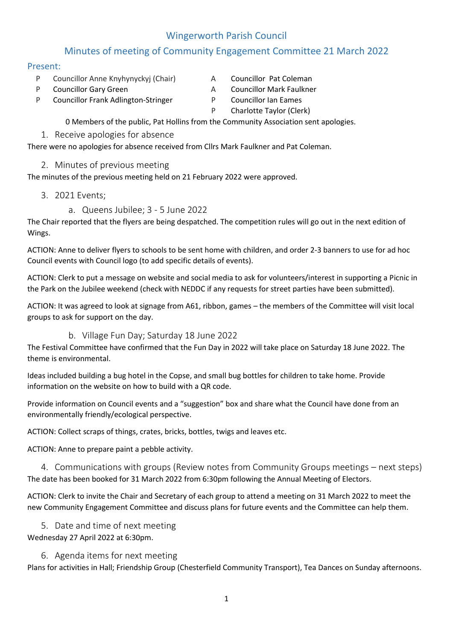## Wingerworth Parish Council

## Minutes of meeting of Community Engagement Committee 21 March 2022

## Present:

- P Councillor Anne Knyhynyckyj (Chair) A Councillor Pat Coleman
- 
- 
- P Councillor Gary Green A Councillor Mark Faulkner
- P Councillor Frank Adlington-Stringer P Councillor Ian Eames
	- P Charlotte Taylor (Clerk)

0 Members of the public, Pat Hollins from the Community Association sent apologies.

1. Receive apologies for absence

There were no apologies for absence received from Cllrs Mark Faulkner and Pat Coleman.

2. Minutes of previous meeting

The minutes of the previous meeting held on 21 February 2022 were approved.

- 3. 2021 Events;
	- a. Queens Jubilee; 3 5 June 2022

The Chair reported that the flyers are being despatched. The competition rules will go out in the next edition of Wings.

ACTION: Anne to deliver flyers to schools to be sent home with children, and order 2-3 banners to use for ad hoc Council events with Council logo (to add specific details of events).

ACTION: Clerk to put a message on website and social media to ask for volunteers/interest in supporting a Picnic in the Park on the Jubilee weekend (check with NEDDC if any requests for street parties have been submitted).

ACTION: It was agreed to look at signage from A61, ribbon, games – the members of the Committee will visit local groups to ask for support on the day.

## b. Village Fun Day; Saturday 18 June 2022

The Festival Committee have confirmed that the Fun Day in 2022 will take place on Saturday 18 June 2022. The theme is environmental.

Ideas included building a bug hotel in the Copse, and small bug bottles for children to take home. Provide information on the website on how to build with a QR code.

Provide information on Council events and a "suggestion" box and share what the Council have done from an environmentally friendly/ecological perspective.

ACTION: Collect scraps of things, crates, bricks, bottles, twigs and leaves etc.

ACTION: Anne to prepare paint a pebble activity.

4. Communications with groups (Review notes from Community Groups meetings – next steps) The date has been booked for 31 March 2022 from 6:30pm following the Annual Meeting of Electors.

ACTION: Clerk to invite the Chair and Secretary of each group to attend a meeting on 31 March 2022 to meet the new Community Engagement Committee and discuss plans for future events and the Committee can help them.

5. Date and time of next meeting

Wednesday 27 April 2022 at 6:30pm.

6. Agenda items for next meeting

Plans for activities in Hall; Friendship Group (Chesterfield Community Transport), Tea Dances on Sunday afternoons.